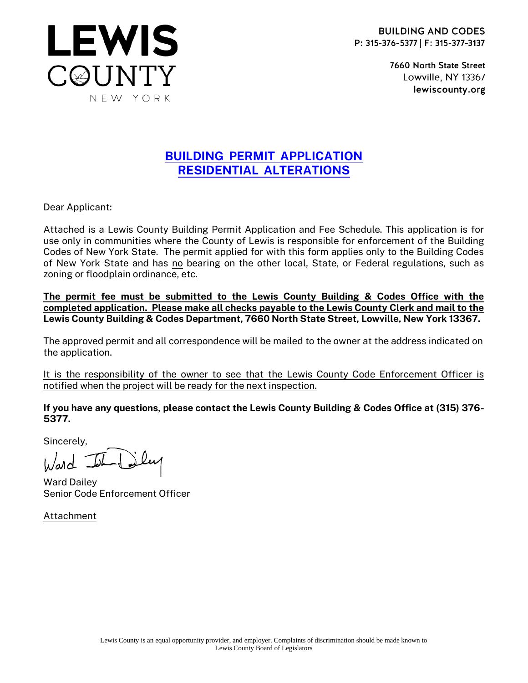

7660 North State Street Lowville, NY 13367 lewiscounty.org

## BUILDING PERMIT APPLICATION RESIDENTIAL ALTERATIONS

Dear Applicant:

**LEWIS** 

C@UNTY

NEW YORK

Attached is a Lewis County Building Permit Application and Fee Schedule. This application is for use only in communities where the County of Lewis is responsible for enforcement of the Building Codes of New York State. The permit applied for with this form applies only to the Building Codes of New York State and has no bearing on the other local, State, or Federal regulations, such as zoning or floodplain ordinance, etc.

The permit fee must be submitted to the Lewis County Building & Codes Office with the completed application. Please make all checks payable to the Lewis County Clerk and mail to the Lewis County Building & Codes Department, 7660 North State Street, Lowville, New York 13367.

The approved permit and all correspondence will be mailed to the owner at the address indicated on the application.

It is the responsibility of the owner to see that the Lewis County Code Enforcement Officer is notified when the project will be ready for the next inspection.

If you have any questions, please contact the Lewis County Building & Codes Office at (315) 376- 5377.

Sincerely,

 $l_{\lambda}/ad$  -

Ward Dailey Senior Code Enforcement Officer

Attachment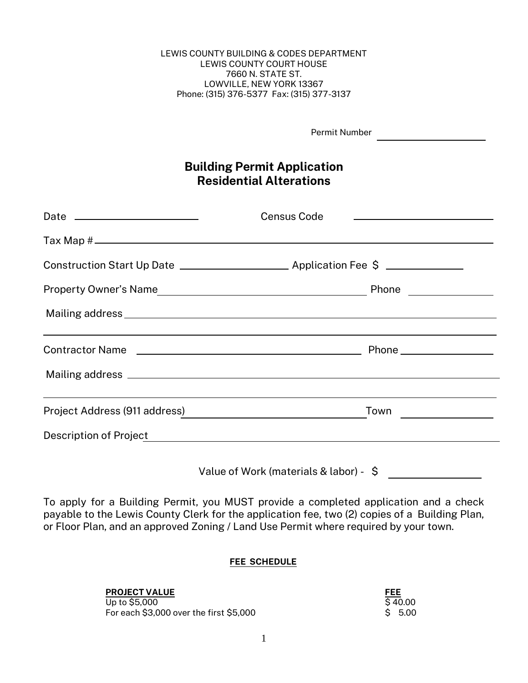LEWIS COUNTY BUILDING & CODES DEPARTMENT LEWIS COUNTY COURT HOUSE 7660 N. STATE ST. LOWVILLE, NEW YORK 13367 Phone: (315) 376-5377 Fax: (315) 377-3137

Permit Number

## Building Permit Application Residential Alterations

| Census Code                                                                      |  |
|----------------------------------------------------------------------------------|--|
|                                                                                  |  |
|                                                                                  |  |
|                                                                                  |  |
|                                                                                  |  |
| ,我们也不能在这里的时候,我们也不能在这里的时候,我们也不能不能不能会不能会不能会不能会不能会不能会不能会不能会不能会。""我们的是,我们也不能会不能会不能会不 |  |
|                                                                                  |  |
|                                                                                  |  |
|                                                                                  |  |
| Value of Work (materials & labor) - \$                                           |  |

To apply for a Building Permit, you MUST provide a completed application and a check payable to the Lewis County Clerk for the application fee, two (2) copies of a Building Plan, or Floor Plan, and an approved Zoning / Land Use Permit where required by your town.

### FEE SCHEDULE

### PROJECT VALUE **FEE**

 $\overline{U}$  to \$5,000  $\overline{S}$  40.00 For each \$3,000 over the first \$5,000 **\$ 5.00** \$ 5.00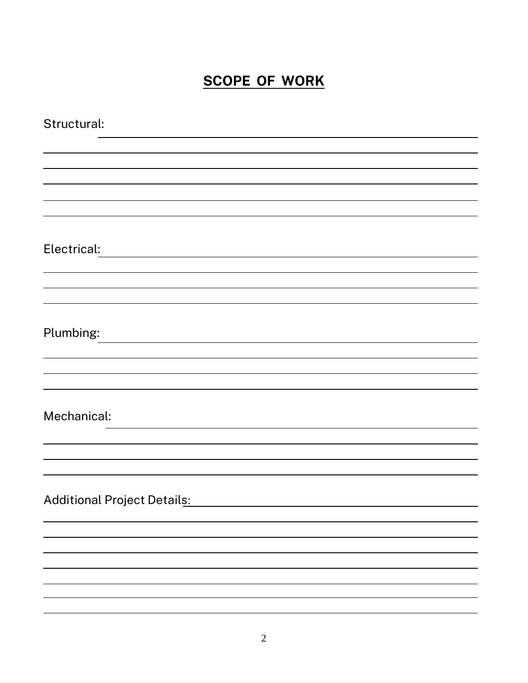# SCOPE OF WORK

| Structural:                        |
|------------------------------------|
|                                    |
|                                    |
|                                    |
|                                    |
| Electrical:                        |
|                                    |
|                                    |
|                                    |
| Plumbing:                          |
|                                    |
|                                    |
|                                    |
| Mechanical:                        |
|                                    |
|                                    |
| <b>Additional Project Details:</b> |
|                                    |
|                                    |
|                                    |
|                                    |
|                                    |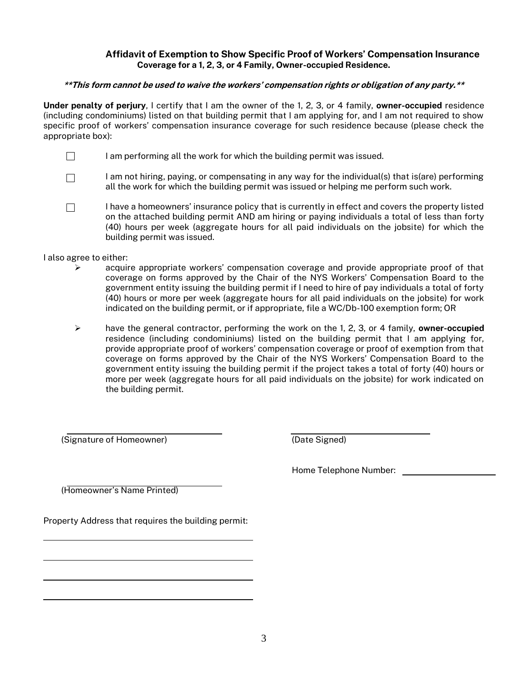### Affidavit of Exemption to Show Specific Proof of Workers' Compensation Insurance Coverage for a 1, 2, 3, or 4 Family, Owner-occupied Residence.

#### \*\*This form cannot be used to waive the workers' compensation rights or obligation of any party.\*\*

Under penalty of perjury, I certify that I am the owner of the 1, 2, 3, or 4 family, owner-occupied residence (including condominiums) listed on that building permit that I am applying for, and I am not required to show specific proof of workers' compensation insurance coverage for such residence because (please check the appropriate box):

- $\Box$ I am performing all the work for which the building permit was issued.
- I am not hiring, paying, or compensating in any way for the individual(s) that is(are) performing  $\Box$ all the work for which the building permit was issued or helping me perform such work.
- $\Box$ I have a homeowners' insurance policy that is currently in effect and covers the property listed on the attached building permit AND am hiring or paying individuals a total of less than forty (40) hours per week (aggregate hours for all paid individuals on the jobsite) for which the building permit was issued.

I also agree to either:

- ➢ acquire appropriate workers' compensation coverage and provide appropriate proof of that coverage on forms approved by the Chair of the NYS Workers' Compensation Board to the government entity issuing the building permit if I need to hire of pay individuals a total of forty (40) hours or more per week (aggregate hours for all paid individuals on the jobsite) for work indicated on the building permit, or if appropriate, file a WC/Db-100 exemption form; OR
- $\triangleright$  have the general contractor, performing the work on the 1, 2, 3, or 4 family, owner-occupied residence (including condominiums) listed on the building permit that I am applying for, provide appropriate proof of workers' compensation coverage or proof of exemption from that coverage on forms approved by the Chair of the NYS Workers' Compensation Board to the government entity issuing the building permit if the project takes a total of forty (40) hours or more per week (aggregate hours for all paid individuals on the jobsite) for work indicated on the building permit.

(Signature of Homeowner) (Date Signed)

Home Telephone Number:

(Homeowner's Name Printed)

Property Address that requires the building permit: